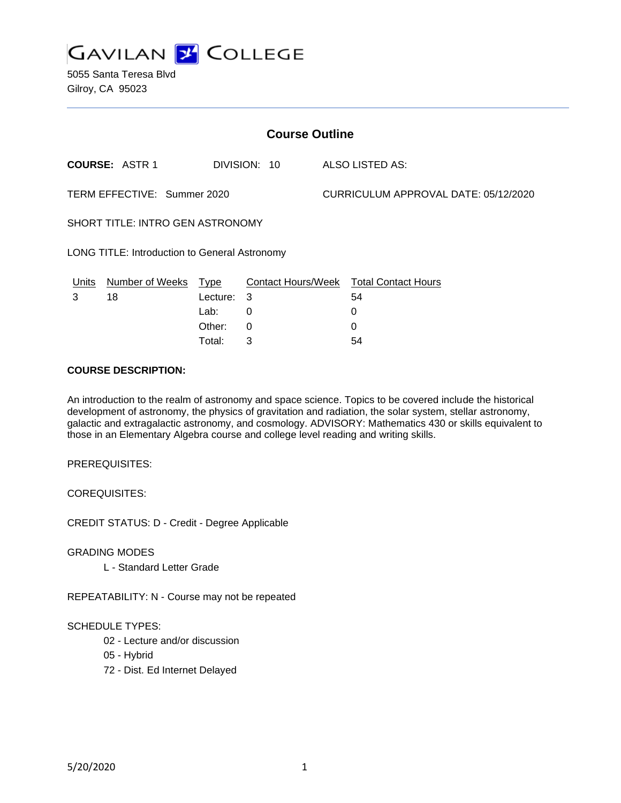

| <b>Course Outline</b>                                |                       |            |              |                                      |                                        |
|------------------------------------------------------|-----------------------|------------|--------------|--------------------------------------|----------------------------------------|
|                                                      | <b>COURSE: ASTR 1</b> |            | DIVISION: 10 |                                      | ALSO LISTED AS:                        |
| TERM EFFECTIVE: Summer 2020                          |                       |            |              | CURRICULUM APPROVAL DATE: 05/12/2020 |                                        |
| SHORT TITLE: INTRO GEN ASTRONOMY                     |                       |            |              |                                      |                                        |
| <b>LONG TITLE: Introduction to General Astronomy</b> |                       |            |              |                                      |                                        |
| Units                                                | Number of Weeks Type  |            |              |                                      | Contact Hours/Week Total Contact Hours |
| 3                                                    | 18                    | Lecture: 3 |              |                                      | 54                                     |
|                                                      |                       | Lab:       | 0            |                                      | 0                                      |
|                                                      |                       | Other:     | 0            |                                      | 0                                      |
|                                                      |                       | Total:     | 3            |                                      | 54                                     |

#### **COURSE DESCRIPTION:**

An introduction to the realm of astronomy and space science. Topics to be covered include the historical development of astronomy, the physics of gravitation and radiation, the solar system, stellar astronomy, galactic and extragalactic astronomy, and cosmology. ADVISORY: Mathematics 430 or skills equivalent to those in an Elementary Algebra course and college level reading and writing skills.

PREREQUISITES:

COREQUISITES:

CREDIT STATUS: D - Credit - Degree Applicable

GRADING MODES

L - Standard Letter Grade

REPEATABILITY: N - Course may not be repeated

#### SCHEDULE TYPES:

- 02 Lecture and/or discussion
- 05 Hybrid
- 72 Dist. Ed Internet Delayed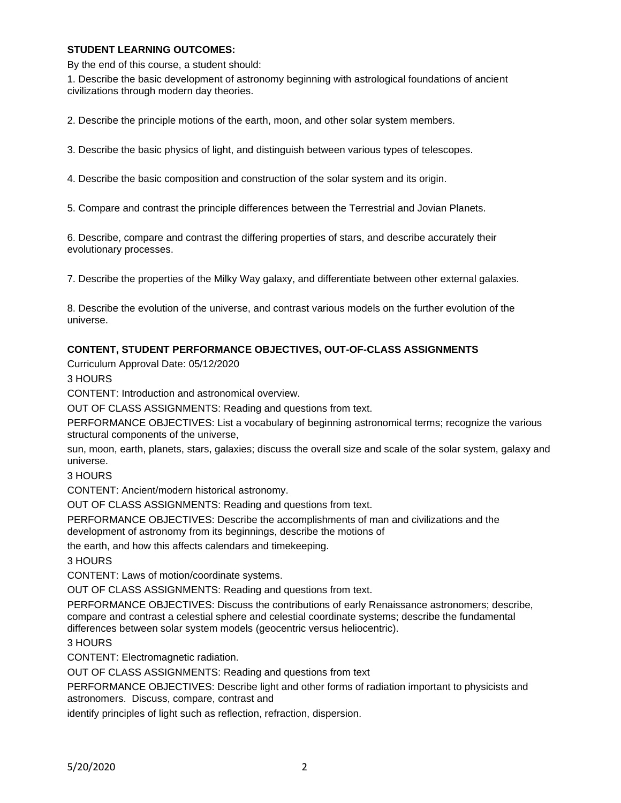### **STUDENT LEARNING OUTCOMES:**

By the end of this course, a student should:

1. Describe the basic development of astronomy beginning with astrological foundations of ancient civilizations through modern day theories.

2. Describe the principle motions of the earth, moon, and other solar system members.

3. Describe the basic physics of light, and distinguish between various types of telescopes.

4. Describe the basic composition and construction of the solar system and its origin.

5. Compare and contrast the principle differences between the Terrestrial and Jovian Planets.

6. Describe, compare and contrast the differing properties of stars, and describe accurately their evolutionary processes.

7. Describe the properties of the Milky Way galaxy, and differentiate between other external galaxies.

8. Describe the evolution of the universe, and contrast various models on the further evolution of the universe.

### **CONTENT, STUDENT PERFORMANCE OBJECTIVES, OUT-OF-CLASS ASSIGNMENTS**

Curriculum Approval Date: 05/12/2020

3 HOURS

CONTENT: Introduction and astronomical overview.

OUT OF CLASS ASSIGNMENTS: Reading and questions from text.

PERFORMANCE OBJECTIVES: List a vocabulary of beginning astronomical terms; recognize the various structural components of the universe,

sun, moon, earth, planets, stars, galaxies; discuss the overall size and scale of the solar system, galaxy and universe.

3 HOURS

CONTENT: Ancient/modern historical astronomy.

OUT OF CLASS ASSIGNMENTS: Reading and questions from text.

PERFORMANCE OBJECTIVES: Describe the accomplishments of man and civilizations and the development of astronomy from its beginnings, describe the motions of

the earth, and how this affects calendars and timekeeping.

3 HOURS

CONTENT: Laws of motion/coordinate systems.

OUT OF CLASS ASSIGNMENTS: Reading and questions from text.

PERFORMANCE OBJECTIVES: Discuss the contributions of early Renaissance astronomers; describe, compare and contrast a celestial sphere and celestial coordinate systems; describe the fundamental differences between solar system models (geocentric versus heliocentric).

3 HOURS

CONTENT: Electromagnetic radiation.

OUT OF CLASS ASSIGNMENTS: Reading and questions from text

PERFORMANCE OBJECTIVES: Describe light and other forms of radiation important to physicists and astronomers. Discuss, compare, contrast and

identify principles of light such as reflection, refraction, dispersion.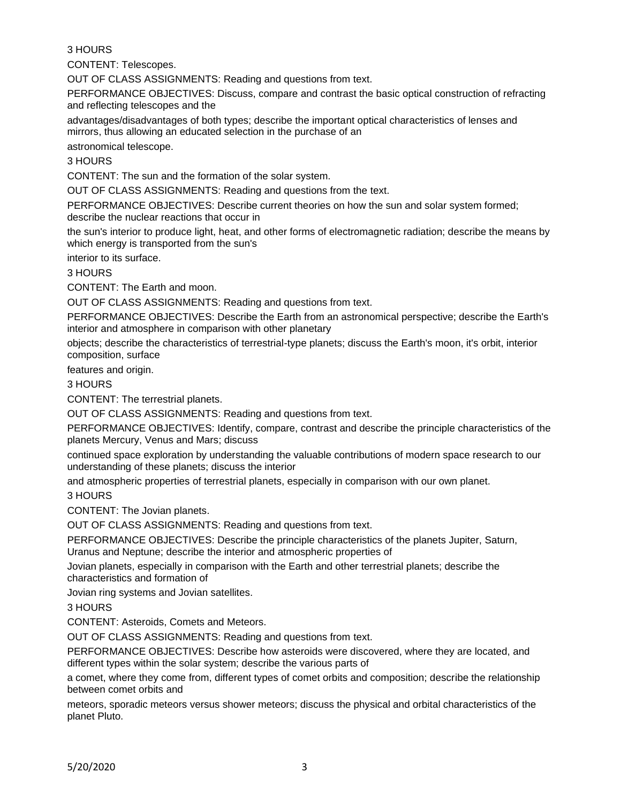## 3 HOURS

CONTENT: Telescopes.

OUT OF CLASS ASSIGNMENTS: Reading and questions from text.

PERFORMANCE OBJECTIVES: Discuss, compare and contrast the basic optical construction of refracting and reflecting telescopes and the

advantages/disadvantages of both types; describe the important optical characteristics of lenses and mirrors, thus allowing an educated selection in the purchase of an

astronomical telescope.

3 HOURS

CONTENT: The sun and the formation of the solar system.

OUT OF CLASS ASSIGNMENTS: Reading and questions from the text.

PERFORMANCE OBJECTIVES: Describe current theories on how the sun and solar system formed; describe the nuclear reactions that occur in

the sun's interior to produce light, heat, and other forms of electromagnetic radiation; describe the means by which energy is transported from the sun's

interior to its surface.

3 HOURS

CONTENT: The Earth and moon.

OUT OF CLASS ASSIGNMENTS: Reading and questions from text.

PERFORMANCE OBJECTIVES: Describe the Earth from an astronomical perspective; describe the Earth's interior and atmosphere in comparison with other planetary

objects; describe the characteristics of terrestrial-type planets; discuss the Earth's moon, it's orbit, interior composition, surface

features and origin.

3 HOURS

CONTENT: The terrestrial planets.

OUT OF CLASS ASSIGNMENTS: Reading and questions from text.

PERFORMANCE OBJECTIVES: Identify, compare, contrast and describe the principle characteristics of the planets Mercury, Venus and Mars; discuss

continued space exploration by understanding the valuable contributions of modern space research to our understanding of these planets; discuss the interior

and atmospheric properties of terrestrial planets, especially in comparison with our own planet.

3 HOURS

CONTENT: The Jovian planets.

OUT OF CLASS ASSIGNMENTS: Reading and questions from text.

PERFORMANCE OBJECTIVES: Describe the principle characteristics of the planets Jupiter, Saturn, Uranus and Neptune; describe the interior and atmospheric properties of

Jovian planets, especially in comparison with the Earth and other terrestrial planets; describe the characteristics and formation of

Jovian ring systems and Jovian satellites.

3 HOURS

CONTENT: Asteroids, Comets and Meteors.

OUT OF CLASS ASSIGNMENTS: Reading and questions from text.

PERFORMANCE OBJECTIVES: Describe how asteroids were discovered, where they are located, and different types within the solar system; describe the various parts of

a comet, where they come from, different types of comet orbits and composition; describe the relationship between comet orbits and

meteors, sporadic meteors versus shower meteors; discuss the physical and orbital characteristics of the planet Pluto.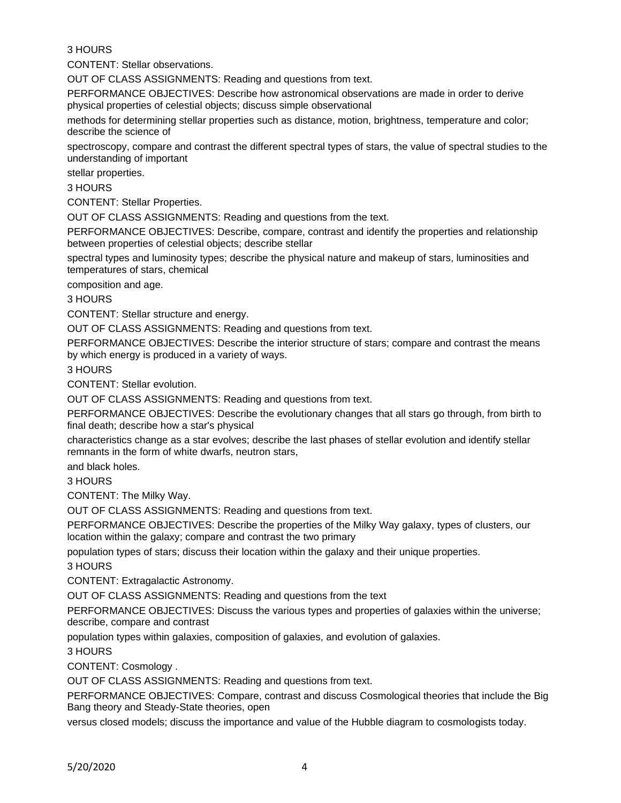# 3 HOURS

CONTENT: Stellar observations.

OUT OF CLASS ASSIGNMENTS: Reading and questions from text.

PERFORMANCE OBJECTIVES: Describe how astronomical observations are made in order to derive physical properties of celestial objects; discuss simple observational

methods for determining stellar properties such as distance, motion, brightness, temperature and color; describe the science of

spectroscopy, compare and contrast the different spectral types of stars, the value of spectral studies to the understanding of important

stellar properties.

3 HOURS

CONTENT: Stellar Properties.

OUT OF CLASS ASSIGNMENTS: Reading and questions from the text.

PERFORMANCE OBJECTIVES: Describe, compare, contrast and identify the properties and relationship between properties of celestial objects; describe stellar

spectral types and luminosity types; describe the physical nature and makeup of stars, luminosities and temperatures of stars, chemical

composition and age.

3 HOURS

CONTENT: Stellar structure and energy.

OUT OF CLASS ASSIGNMENTS: Reading and questions from text.

PERFORMANCE OBJECTIVES: Describe the interior structure of stars; compare and contrast the means by which energy is produced in a variety of ways.

3 HOURS

CONTENT: Stellar evolution.

OUT OF CLASS ASSIGNMENTS: Reading and questions from text.

PERFORMANCE OBJECTIVES: Describe the evolutionary changes that all stars go through, from birth to final death; describe how a star's physical

characteristics change as a star evolves; describe the last phases of stellar evolution and identify stellar remnants in the form of white dwarfs, neutron stars,

and black holes.

3 HOURS

CONTENT: The Milky Way.

OUT OF CLASS ASSIGNMENTS: Reading and questions from text.

PERFORMANCE OBJECTIVES: Describe the properties of the Milky Way galaxy, types of clusters, our location within the galaxy; compare and contrast the two primary

population types of stars; discuss their location within the galaxy and their unique properties.

3 HOURS

CONTENT: Extragalactic Astronomy.

OUT OF CLASS ASSIGNMENTS: Reading and questions from the text

PERFORMANCE OBJECTIVES: Discuss the various types and properties of galaxies within the universe; describe, compare and contrast

population types within galaxies, composition of galaxies, and evolution of galaxies.

3 HOURS

CONTENT: Cosmology .

OUT OF CLASS ASSIGNMENTS: Reading and questions from text.

PERFORMANCE OBJECTIVES: Compare, contrast and discuss Cosmological theories that include the Big Bang theory and Steady-State theories, open

versus closed models; discuss the importance and value of the Hubble diagram to cosmologists today.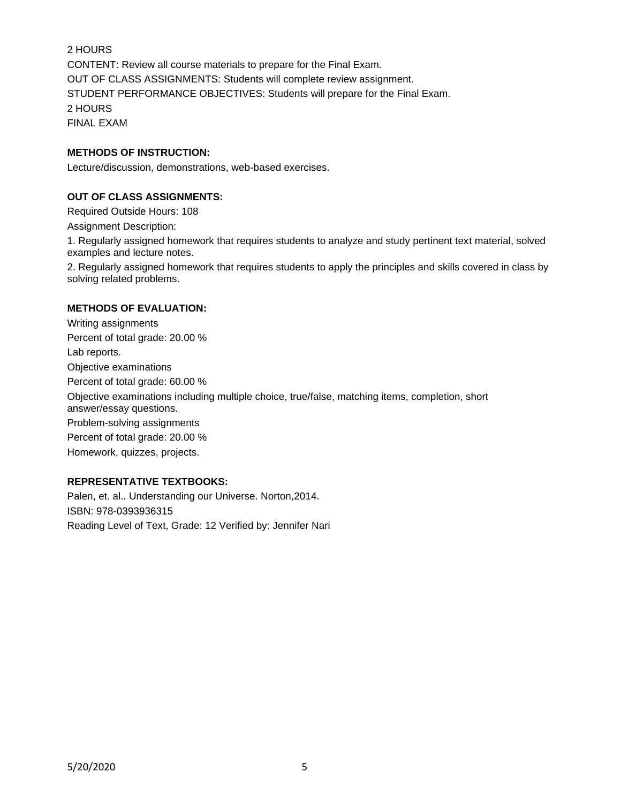2 HOURS CONTENT: Review all course materials to prepare for the Final Exam. OUT OF CLASS ASSIGNMENTS: Students will complete review assignment. STUDENT PERFORMANCE OBJECTIVES: Students will prepare for the Final Exam. 2 HOURS FINAL EXAM

### **METHODS OF INSTRUCTION:**

Lecture/discussion, demonstrations, web-based exercises.

## **OUT OF CLASS ASSIGNMENTS:**

Required Outside Hours: 108 Assignment Description:

1. Regularly assigned homework that requires students to analyze and study pertinent text material, solved examples and lecture notes.

2. Regularly assigned homework that requires students to apply the principles and skills covered in class by solving related problems.

#### **METHODS OF EVALUATION:**

Writing assignments Percent of total grade: 20.00 % Lab reports. Objective examinations Percent of total grade: 60.00 % Objective examinations including multiple choice, true/false, matching items, completion, short answer/essay questions. Problem-solving assignments Percent of total grade: 20.00 % Homework, quizzes, projects.

# **REPRESENTATIVE TEXTBOOKS:**

Palen, et. al.. Understanding our Universe. Norton,2014. ISBN: 978-0393936315 Reading Level of Text, Grade: 12 Verified by: Jennifer Nari